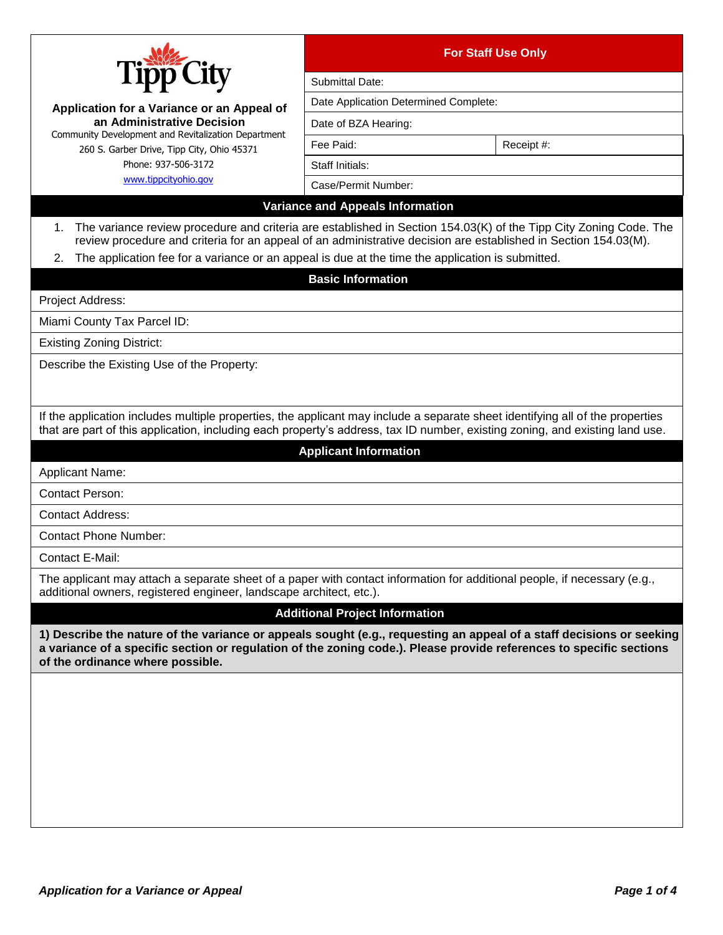| City<br>Application for a Variance or an Appeal of<br>an Administrative Decision                                                                                                                                                                                                                                                                     | <b>For Staff Use Only</b>               |            |
|------------------------------------------------------------------------------------------------------------------------------------------------------------------------------------------------------------------------------------------------------------------------------------------------------------------------------------------------------|-----------------------------------------|------------|
|                                                                                                                                                                                                                                                                                                                                                      | Submittal Date:                         |            |
|                                                                                                                                                                                                                                                                                                                                                      | Date Application Determined Complete:   |            |
|                                                                                                                                                                                                                                                                                                                                                      | Date of BZA Hearing:                    |            |
| Community Development and Revitalization Department<br>260 S. Garber Drive, Tipp City, Ohio 45371                                                                                                                                                                                                                                                    | Fee Paid:                               | Receipt #: |
| Phone: 937-506-3172                                                                                                                                                                                                                                                                                                                                  | Staff Initials:                         |            |
| www.tippcityohio.gov                                                                                                                                                                                                                                                                                                                                 | Case/Permit Number:                     |            |
|                                                                                                                                                                                                                                                                                                                                                      | <b>Variance and Appeals Information</b> |            |
| The variance review procedure and criteria are established in Section 154.03(K) of the Tipp City Zoning Code. The<br>1.<br>review procedure and criteria for an appeal of an administrative decision are established in Section 154.03(M).<br>The application fee for a variance or an appeal is due at the time the application is submitted.<br>2. |                                         |            |
|                                                                                                                                                                                                                                                                                                                                                      | <b>Basic Information</b>                |            |
| <b>Project Address:</b>                                                                                                                                                                                                                                                                                                                              |                                         |            |
| Miami County Tax Parcel ID:                                                                                                                                                                                                                                                                                                                          |                                         |            |
| <b>Existing Zoning District:</b>                                                                                                                                                                                                                                                                                                                     |                                         |            |
| Describe the Existing Use of the Property:                                                                                                                                                                                                                                                                                                           |                                         |            |
| If the application includes multiple properties, the applicant may include a separate sheet identifying all of the properties<br>that are part of this application, including each property's address, tax ID number, existing zoning, and existing land use.                                                                                        |                                         |            |
|                                                                                                                                                                                                                                                                                                                                                      | <b>Applicant Information</b>            |            |
| <b>Applicant Name:</b>                                                                                                                                                                                                                                                                                                                               |                                         |            |
| <b>Contact Person:</b>                                                                                                                                                                                                                                                                                                                               |                                         |            |
| <b>Contact Address:</b>                                                                                                                                                                                                                                                                                                                              |                                         |            |
| <b>Contact Phone Number:</b>                                                                                                                                                                                                                                                                                                                         |                                         |            |
| Contact E-Mail:                                                                                                                                                                                                                                                                                                                                      |                                         |            |
| The applicant may attach a separate sheet of a paper with contact information for additional people, if necessary (e.g.,<br>additional owners, registered engineer, landscape architect, etc.).                                                                                                                                                      |                                         |            |
|                                                                                                                                                                                                                                                                                                                                                      | <b>Additional Project Information</b>   |            |
| 1) Describe the nature of the variance or appeals sought (e.g., requesting an appeal of a staff decisions or seeking<br>a variance of a specific section or regulation of the zoning code.). Please provide references to specific sections<br>of the ordinance where possible.                                                                      |                                         |            |
|                                                                                                                                                                                                                                                                                                                                                      |                                         |            |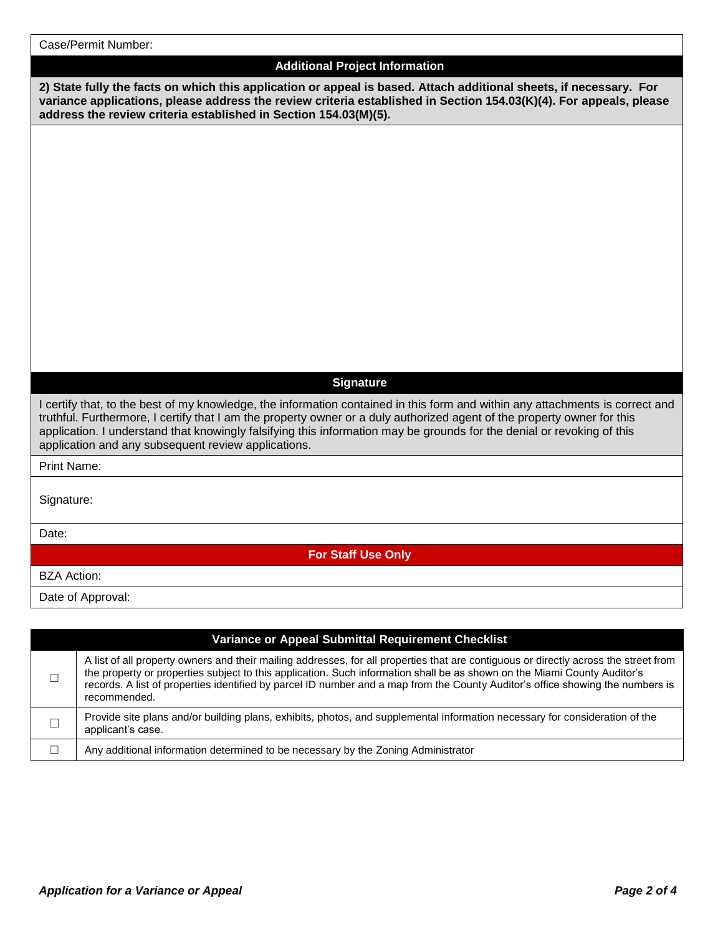| Case/Permit Number:                                                                                                                                                                                                                                                                                                                                                                                                                       |
|-------------------------------------------------------------------------------------------------------------------------------------------------------------------------------------------------------------------------------------------------------------------------------------------------------------------------------------------------------------------------------------------------------------------------------------------|
| <b>Additional Project Information</b>                                                                                                                                                                                                                                                                                                                                                                                                     |
| 2) State fully the facts on which this application or appeal is based. Attach additional sheets, if necessary. For<br>variance applications, please address the review criteria established in Section 154.03(K)(4). For appeals, please<br>address the review criteria established in Section 154.03(M)(5).                                                                                                                              |
|                                                                                                                                                                                                                                                                                                                                                                                                                                           |
|                                                                                                                                                                                                                                                                                                                                                                                                                                           |
|                                                                                                                                                                                                                                                                                                                                                                                                                                           |
|                                                                                                                                                                                                                                                                                                                                                                                                                                           |
|                                                                                                                                                                                                                                                                                                                                                                                                                                           |
|                                                                                                                                                                                                                                                                                                                                                                                                                                           |
|                                                                                                                                                                                                                                                                                                                                                                                                                                           |
|                                                                                                                                                                                                                                                                                                                                                                                                                                           |
|                                                                                                                                                                                                                                                                                                                                                                                                                                           |
|                                                                                                                                                                                                                                                                                                                                                                                                                                           |
|                                                                                                                                                                                                                                                                                                                                                                                                                                           |
| <b>Signature</b>                                                                                                                                                                                                                                                                                                                                                                                                                          |
| I certify that, to the best of my knowledge, the information contained in this form and within any attachments is correct and<br>truthful. Furthermore, I certify that I am the property owner or a duly authorized agent of the property owner for this<br>application. I understand that knowingly falsifying this information may be grounds for the denial or revoking of this<br>application and any subsequent review applications. |
| <b>Print Name:</b>                                                                                                                                                                                                                                                                                                                                                                                                                        |
| Signature:                                                                                                                                                                                                                                                                                                                                                                                                                                |
| Date:                                                                                                                                                                                                                                                                                                                                                                                                                                     |
| <b>For Staff Use Only</b>                                                                                                                                                                                                                                                                                                                                                                                                                 |
| <b>BZA Action:</b>                                                                                                                                                                                                                                                                                                                                                                                                                        |
| Date of Approval:                                                                                                                                                                                                                                                                                                                                                                                                                         |
|                                                                                                                                                                                                                                                                                                                                                                                                                                           |
| Variance or Appeal Submittal Requirement Checklist                                                                                                                                                                                                                                                                                                                                                                                        |

| □ | A list of all property owners and their mailing addresses, for all properties that are contiguous or directly across the street from<br>the property or properties subject to this application. Such information shall be as shown on the Miami County Auditor's<br>records. A list of properties identified by parcel ID number and a map from the County Auditor's office showing the numbers is<br>recommended. |
|---|--------------------------------------------------------------------------------------------------------------------------------------------------------------------------------------------------------------------------------------------------------------------------------------------------------------------------------------------------------------------------------------------------------------------|
|   | Provide site plans and/or building plans, exhibits, photos, and supplemental information necessary for consideration of the<br>applicant's case.                                                                                                                                                                                                                                                                   |
|   | Any additional information determined to be necessary by the Zoning Administrator                                                                                                                                                                                                                                                                                                                                  |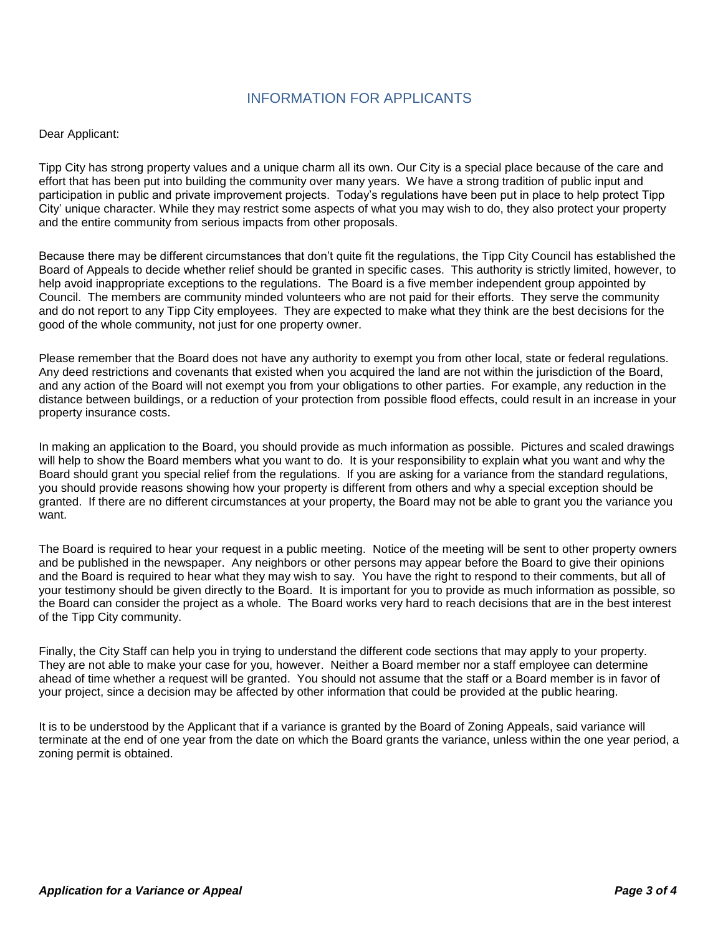## INFORMATION FOR APPLICANTS

## Dear Applicant:

Tipp City has strong property values and a unique charm all its own. Our City is a special place because of the care and effort that has been put into building the community over many years. We have a strong tradition of public input and participation in public and private improvement projects. Today's regulations have been put in place to help protect Tipp City' unique character. While they may restrict some aspects of what you may wish to do, they also protect your property and the entire community from serious impacts from other proposals.

Because there may be different circumstances that don't quite fit the regulations, the Tipp City Council has established the Board of Appeals to decide whether relief should be granted in specific cases. This authority is strictly limited, however, to help avoid inappropriate exceptions to the regulations. The Board is a five member independent group appointed by Council. The members are community minded volunteers who are not paid for their efforts. They serve the community and do not report to any Tipp City employees. They are expected to make what they think are the best decisions for the good of the whole community, not just for one property owner.

Please remember that the Board does not have any authority to exempt you from other local, state or federal regulations. Any deed restrictions and covenants that existed when you acquired the land are not within the jurisdiction of the Board, and any action of the Board will not exempt you from your obligations to other parties. For example, any reduction in the distance between buildings, or a reduction of your protection from possible flood effects, could result in an increase in your property insurance costs.

In making an application to the Board, you should provide as much information as possible. Pictures and scaled drawings will help to show the Board members what you want to do. It is your responsibility to explain what you want and why the Board should grant you special relief from the regulations. If you are asking for a variance from the standard regulations, you should provide reasons showing how your property is different from others and why a special exception should be granted. If there are no different circumstances at your property, the Board may not be able to grant you the variance you want.

The Board is required to hear your request in a public meeting. Notice of the meeting will be sent to other property owners and be published in the newspaper. Any neighbors or other persons may appear before the Board to give their opinions and the Board is required to hear what they may wish to say. You have the right to respond to their comments, but all of your testimony should be given directly to the Board. It is important for you to provide as much information as possible, so the Board can consider the project as a whole. The Board works very hard to reach decisions that are in the best interest of the Tipp City community.

Finally, the City Staff can help you in trying to understand the different code sections that may apply to your property. They are not able to make your case for you, however. Neither a Board member nor a staff employee can determine ahead of time whether a request will be granted. You should not assume that the staff or a Board member is in favor of your project, since a decision may be affected by other information that could be provided at the public hearing.

It is to be understood by the Applicant that if a variance is granted by the Board of Zoning Appeals, said variance will terminate at the end of one year from the date on which the Board grants the variance, unless within the one year period, a zoning permit is obtained.